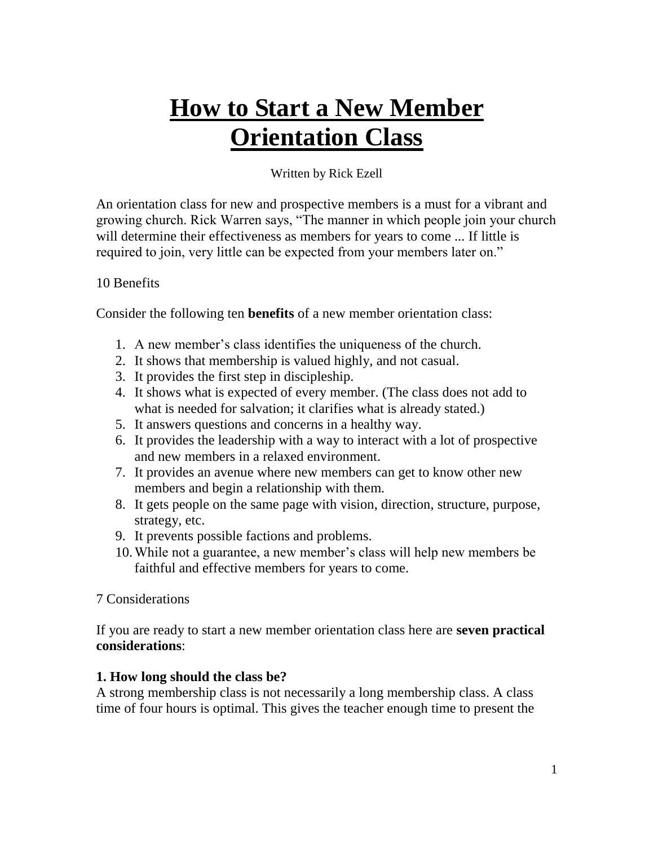# **How to Start a New Member Orientation Class**

## Written by Rick Ezell

An orientation class for new and prospective members is a must for a vibrant and growing church. Rick Warren says, "The manner in which people join your church will determine their effectiveness as members for years to come ... If little is required to join, very little can be expected from your members later on."

#### 10 Benefits

Consider the following ten **benefits** of a new member orientation class:

- 1. A new member's class identifies the uniqueness of the church.
- 2. It shows that membership is valued highly, and not casual.
- 3. It provides the first step in discipleship.
- 4. It shows what is expected of every member. (The class does not add to what is needed for salvation; it clarifies what is already stated.)
- 5. It answers questions and concerns in a healthy way.
- 6. It provides the leadership with a way to interact with a lot of prospective and new members in a relaxed environment.
- 7. It provides an avenue where new members can get to know other new members and begin a relationship with them.
- 8. It gets people on the same page with vision, direction, structure, purpose, strategy, etc.
- 9. It prevents possible factions and problems.
- 10.While not a guarantee, a new member's class will help new members be faithful and effective members for years to come.

## 7 Considerations

If you are ready to start a new member orientation class here are **seven practical considerations**:

## **1. How long should the class be?**

A strong membership class is not necessarily a long membership class. A class time of four hours is optimal. This gives the teacher enough time to present the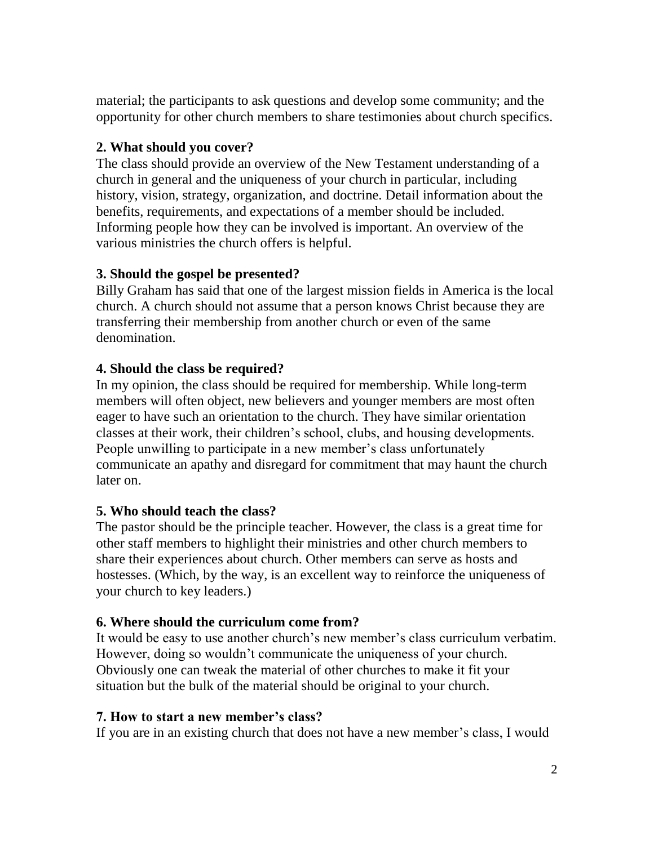material; the participants to ask questions and develop some community; and the opportunity for other church members to share testimonies about church specifics.

## **2. What should you cover?**

The class should provide an overview of the New Testament understanding of a church in general and the uniqueness of your church in particular, including history, vision, strategy, organization, and doctrine. Detail information about the benefits, requirements, and expectations of a member should be included. Informing people how they can be involved is important. An overview of the various ministries the church offers is helpful.

## **3. Should the gospel be presented?**

Billy Graham has said that one of the largest mission fields in America is the local church. A church should not assume that a person knows Christ because they are transferring their membership from another church or even of the same denomination.

## **4. Should the class be required?**

In my opinion, the class should be required for membership. While long-term members will often object, new believers and younger members are most often eager to have such an orientation to the church. They have similar orientation classes at their work, their children's school, clubs, and housing developments. People unwilling to participate in a new member's class unfortunately communicate an apathy and disregard for commitment that may haunt the church later on.

## **5. Who should teach the class?**

The pastor should be the principle teacher. However, the class is a great time for other staff members to highlight their ministries and other church members to share their experiences about church. Other members can serve as hosts and hostesses. (Which, by the way, is an excellent way to reinforce the uniqueness of your church to key leaders.)

## **6. Where should the curriculum come from?**

It would be easy to use another church's new member's class curriculum verbatim. However, doing so wouldn't communicate the uniqueness of your church. Obviously one can tweak the material of other churches to make it fit your situation but the bulk of the material should be original to your church.

## **7. How to start a new member's class?**

If you are in an existing church that does not have a new member's class, I would